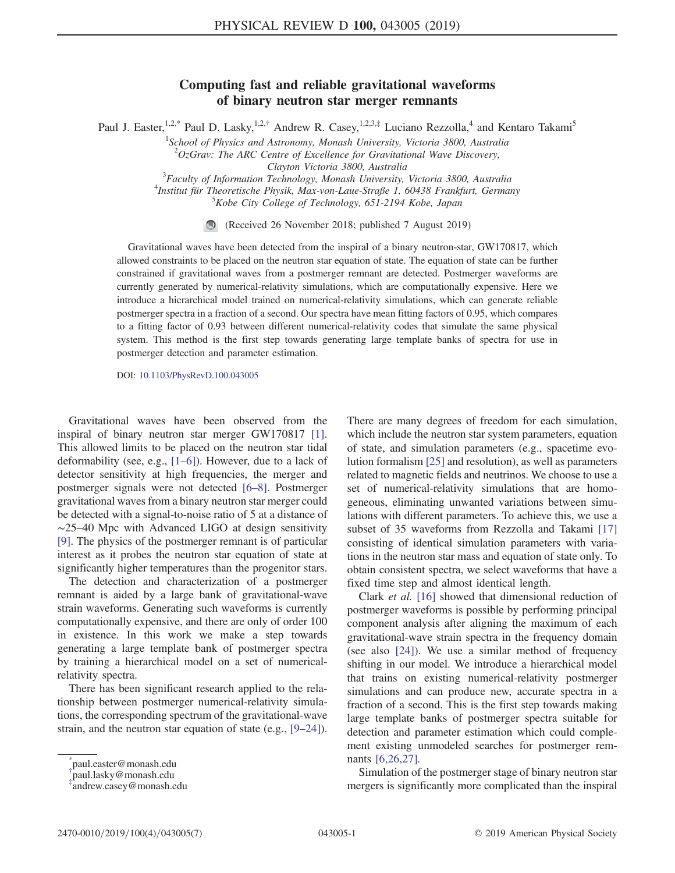## Computing fast and reliable gravitational waveforms of binary neutron star merger remnants

<span id="page-0-3"></span>Paul J. Easter,<sup>1,[2,\\*](#page-0-0)</sup> Paul D. Lasky,<sup>1,2,[†](#page-0-1)</sup> Andrew R. Casey,<sup>1,2,3,[‡](#page-0-2)</sup> Luciano Rezzolla,<sup>4</sup> and Kentaro Takami<sup>5</sup>

<sup>1</sup>School of Physics and Astronomy, Monash University, Victoria 3800, Australia

 $2OzGrav$ : The ARC Centre of Excellence for Gravitational Wave Discovery,

Clayton Victoria 3800, Australia<br><sup>3</sup> Easylin of Information Technology, Monach University

<sup>3</sup> Faculty of Information Technology, Monash University, Victoria 3800, Australia  $^{4}$ Institut für Theoretische Physik Max von Laue Straße 1, 60438 Frankfurt German

 $^{4}$ Institut für Theoretische Physik, Max-von-Laue-Straße 1, 60438 Frankfurt, Germany

Kobe City College of Technology, 651-2194 Kobe, Japan

(Received 26 November 2018; published 7 August 2019)

Gravitational waves have been detected from the inspiral of a binary neutron-star, GW170817, which allowed constraints to be placed on the neutron star equation of state. The equation of state can be further constrained if gravitational waves from a postmerger remnant are detected. Postmerger waveforms are currently generated by numerical-relativity simulations, which are computationally expensive. Here we introduce a hierarchical model trained on numerical-relativity simulations, which can generate reliable postmerger spectra in a fraction of a second. Our spectra have mean fitting factors of 0.95, which compares to a fitting factor of 0.93 between different numerical-relativity codes that simulate the same physical system. This method is the first step towards generating large template banks of spectra for use in postmerger detection and parameter estimation.

DOI: [10.1103/PhysRevD.100.043005](https://doi.org/10.1103/PhysRevD.100.043005)

Gravitational waves have been observed from the inspiral of binary neutron star merger GW170817 [\[1\]](#page-5-0). This allowed limits to be placed on the neutron star tidal deformability (see, e.g., [1–[6\]\)](#page-5-0). However, due to a lack of detector sensitivity at high frequencies, the merger and postmerger signals were not detected [\[6](#page-5-1)–8]. Postmerger gravitational waves from a binary neutron star merger could be detected with a signal-to-noise ratio of 5 at a distance of ∼25–40 Mpc with Advanced LIGO at design sensitivity [\[9\]](#page-5-2). The physics of the postmerger remnant is of particular interest as it probes the neutron star equation of state at significantly higher temperatures than the progenitor stars.

The detection and characterization of a postmerger remnant is aided by a large bank of gravitational-wave strain waveforms. Generating such waveforms is currently computationally expensive, and there are only of order 100 in existence. In this work we make a step towards generating a large template bank of postmerger spectra by training a hierarchical model on a set of numericalrelativity spectra.

There has been significant research applied to the relationship between postmerger numerical-relativity simulations, the corresponding spectrum of the gravitational-wave strain, and the neutron star equation of state (e.g., [9–[24\]](#page-5-2)). There are many degrees of freedom for each simulation, which include the neutron star system parameters, equation of state, and simulation parameters (e.g., spacetime evolution formalism [\[25\]](#page-5-3) and resolution), as well as parameters related to magnetic fields and neutrinos. We choose to use a set of numerical-relativity simulations that are homogeneous, eliminating unwanted variations between simulations with different parameters. To achieve this, we use a subset of 35 waveforms from Rezzolla and Takami [\[17\]](#page-5-4) consisting of identical simulation parameters with variations in the neutron star mass and equation of state only. To obtain consistent spectra, we select waveforms that have a fixed time step and almost identical length.

Clark et al. [\[16\]](#page-5-5) showed that dimensional reduction of postmerger waveforms is possible by performing principal component analysis after aligning the maximum of each gravitational-wave strain spectra in the frequency domain (see also [\[24\]\)](#page-5-6). We use a similar method of frequency shifting in our model. We introduce a hierarchical model that trains on existing numerical-relativity postmerger simulations and can produce new, accurate spectra in a fraction of a second. This is the first step towards making large template banks of postmerger spectra suitable for detection and parameter estimation which could complement existing unmodeled searches for postmerger remnants [\[6,26,27\].](#page-5-1)

Simulation of the postmerger stage of binary neutron star mergers is significantly more complicated than the inspiral

<span id="page-0-0"></span>[<sup>\\*</sup>](#page-0-3) paul.easter@monash.edu

<span id="page-0-1"></span>[<sup>†</sup>](#page-0-3) paul.lasky@monash.edu

<span id="page-0-2"></span>[<sup>‡</sup>](#page-0-3) andrew.casey@monash.edu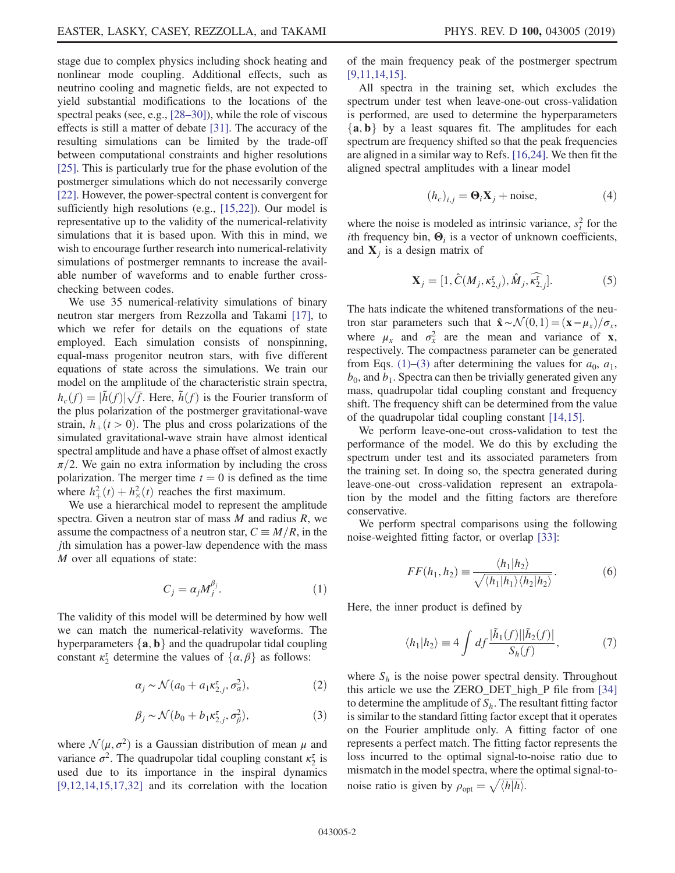stage due to complex physics including shock heating and nonlinear mode coupling. Additional effects, such as neutrino cooling and magnetic fields, are not expected to yield substantial modifications to the locations of the spectral peaks (see, e.g., [\[28](#page-5-7)–30]), while the role of viscous effects is still a matter of debate [\[31\].](#page-6-0) The accuracy of the resulting simulations can be limited by the trade-off between computational constraints and higher resolutions [\[25\]](#page-5-3). This is particularly true for the phase evolution of the postmerger simulations which do not necessarily converge [\[22\]](#page-5-8). However, the power-spectral content is convergent for sufficiently high resolutions (e.g., [\[15,22\]](#page-5-9)). Our model is representative up to the validity of the numerical-relativity simulations that it is based upon. With this in mind, we wish to encourage further research into numerical-relativity simulations of postmerger remnants to increase the available number of waveforms and to enable further crosschecking between codes.

We use 35 numerical-relativity simulations of binary neutron star mergers from Rezzolla and Takami [\[17\],](#page-5-4) to which we refer for details on the equations of state employed. Each simulation consists of nonspinning, equal-mass progenitor neutron stars, with five different equations of state across the simulations. We train our model on the amplitude of the characteristic strain spectra, model on the amplitude of the characteristic strain spectra,<br> $h_c(f) = |\tilde{h}(f)| \sqrt{f}$ . Here,  $\tilde{h}(f)$  is the Fourier transform of<br>the plus polarization of the postmerger gravitational-wave the plus polarization of the postmerger gravitational-wave strain,  $h_{+}(t > 0)$ . The plus and cross polarizations of the simulated gravitational-wave strain have almost identical spectral amplitude and have a phase offset of almost exactly  $\pi/2$ . We gain no extra information by including the cross polarization. The merger time  $t = 0$  is defined as the time where  $h^2_+(t) + h^2_{\times}(t)$  reaches the first maximum.<br>We use a hierarchical model to represent the a

<span id="page-1-0"></span>We use a hierarchical model to represent the amplitude spectra. Given a neutron star of mass  $M$  and radius  $R$ , we assume the compactness of a neutron star,  $C \equiv M/R$ , in the jth simulation has a power-law dependence with the mass M over all equations of state:

$$
C_j = \alpha_j M_j^{\beta_j}.
$$
 (1)

The validity of this model will be determined by how well we can match the numerical-relativity waveforms. The hyperparameters  $\{a, b\}$  and the quadrupolar tidal coupling constant  $\kappa_2^{\tau}$  determine the values of  $\{\alpha, \beta\}$  as follows:

$$
\alpha_j \sim \mathcal{N}(a_0 + a_1 \kappa_{2,j}^{\tau}, \sigma_{\alpha}^2), \tag{2}
$$

$$
\beta_j \sim \mathcal{N}(b_0 + b_1 \kappa_{2,j}^{\tau}, \sigma_{\beta}^2), \tag{3}
$$

<span id="page-1-1"></span>where  $\mathcal{N}(\mu, \sigma^2)$  is a Gaussian distribution of mean  $\mu$  and variance  $\sigma^2$ . The quadrupolar tidal coupling constant  $\kappa_2^{\tau}$  is used due to its importance in the inspiral dynamics  $[9,12,14,15,17,32]$  and its correlation with the location of the main frequency peak of the postmerger spectrum [\[9,11,14,15\]](#page-5-2).

All spectra in the training set, which excludes the spectrum under test when leave-one-out cross-validation is performed, are used to determine the hyperparameters  ${a, b}$  by a least squares fit. The amplitudes for each spectrum are frequency shifted so that the peak frequencies are aligned in a similar way to Refs. [\[16,24\]](#page-5-5). We then fit the aligned spectral amplitudes with a linear model

$$
(h_c)_{i,j} = \mathbf{\Theta}_i \mathbf{X}_j + \text{noise},\tag{4}
$$

<span id="page-1-2"></span>where the noise is modeled as intrinsic variance,  $s_i^2$  for the ith frequency bin,  $\mathbf{\Theta}_i$  is a vector of unknown coefficients, and  $X_i$  is a design matrix of

$$
\mathbf{X}_{j} = [1, \hat{C}(M_{j}, \kappa_{2,j}^{\tau}), \hat{M}_{j}, \widehat{\kappa_{2,j}^{\tau}}]. \tag{5}
$$

The hats indicate the whitened transformations of the neutron star parameters such that  $\hat{\mathbf{x}} \sim \mathcal{N}(0,1) = (\mathbf{x}-\mu_x)/\sigma_x$ , where  $\mu_x$  and  $\sigma_x^2$  are the mean and variance of **x**, respectively. The compactness parameter can be generated from Eqs. [\(1\)](#page-1-0)–[\(3\)](#page-1-1) after determining the values for  $a_0$ ,  $a_1$ ,  $b_0$ , and  $b_1$ . Spectra can then be trivially generated given any mass, quadrupolar tidal coupling constant and frequency shift. The frequency shift can be determined from the value of the quadrupolar tidal coupling constant [\[14,15\]](#page-5-10).

We perform leave-one-out cross-validation to test the performance of the model. We do this by excluding the spectrum under test and its associated parameters from the training set. In doing so, the spectra generated during leave-one-out cross-validation represent an extrapolation by the model and the fitting factors are therefore conservative.

<span id="page-1-3"></span>We perform spectral comparisons using the following noise-weighted fitting factor, or overlap [\[33\]:](#page-6-1)

$$
FF(h_1, h_2) \equiv \frac{\langle h_1 | h_2 \rangle}{\sqrt{\langle h_1 | h_1 \rangle \langle h_2 | h_2 \rangle}}.
$$
 (6)

Here, the inner product is defined by

$$
\langle h_1 | h_2 \rangle \equiv 4 \int df \frac{|\tilde{h}_1(f)| |\tilde{h}_2(f)|}{S_h(f)},\tag{7}
$$

where  $S_h$  is the noise power spectral density. Throughout this article we use the ZERO\_DET\_high\_P file from [\[34\]](#page-6-2) to determine the amplitude of  $S_h$ . The resultant fitting factor is similar to the standard fitting factor except that it operates on the Fourier amplitude only. A fitting factor of one represents a perfect match. The fitting factor represents the loss incurred to the optimal signal-to-noise ratio due to mismatch in the model spectra, where the optimal signal-tomismatch in the model spectra, where the noise ratio is given by  $\rho_{opt} = \sqrt{\langle h|h \rangle}$ .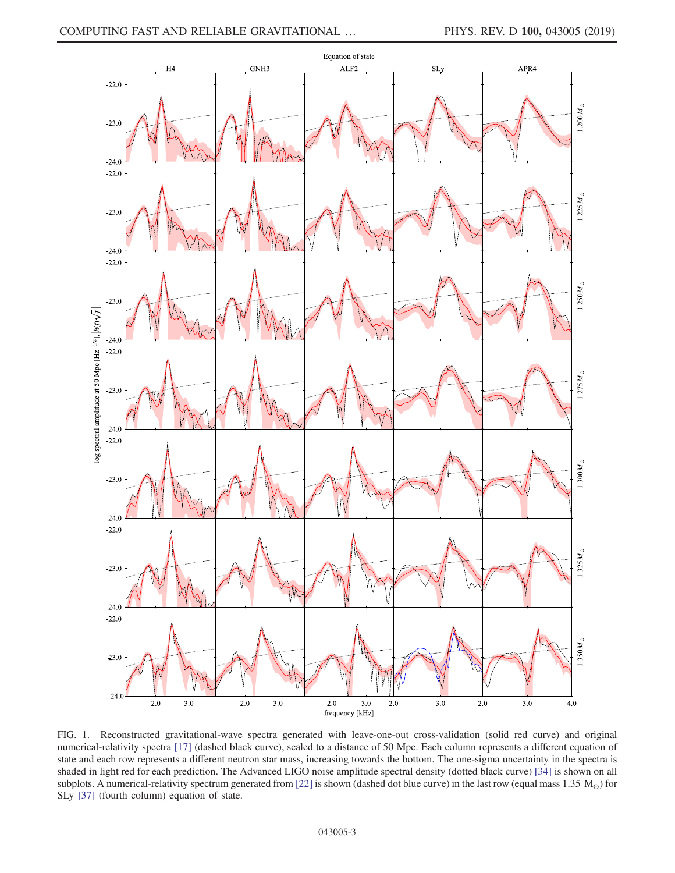<span id="page-2-0"></span>

FIG. 1. Reconstructed gravitational-wave spectra generated with leave-one-out cross-validation (solid red curve) and original numerical-relativity spectra [\[17\]](#page-5-4) (dashed black curve), scaled to a distance of 50 Mpc. Each column represents a different equation of state and each row represents a different neutron star mass, increasing towards the bottom. The one-sigma uncertainty in the spectra is shaded in light red for each prediction. The Advanced LIGO noise amplitude spectral density (dotted black curve) [\[34\]](#page-6-2) is shown on all subplots. A numerical-relativity spectrum generated from [\[22\]](#page-5-8) is shown (dashed dot blue curve) in the last row (equal mass 1.35  $M_{\odot}$ ) for SLy [\[37\]](#page-6-3) (fourth column) equation of state.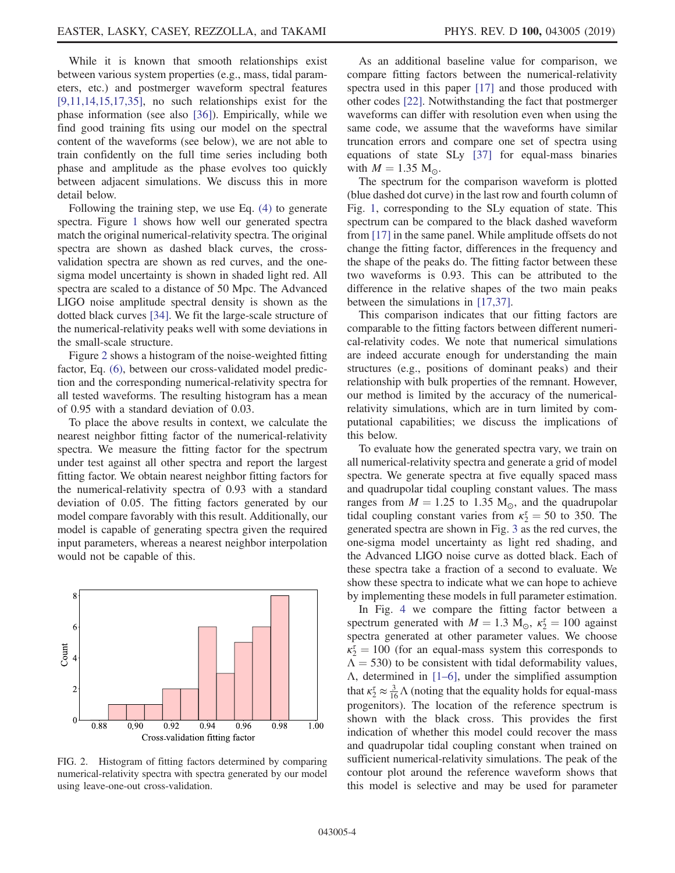While it is known that smooth relationships exist between various system properties (e.g., mass, tidal parameters, etc.) and postmerger waveform spectral features  $[9,11,14,15,17,35]$ , no such relationships exist for the phase information (see also [\[36\]](#page-6-4)). Empirically, while we find good training fits using our model on the spectral content of the waveforms (see below), we are not able to train confidently on the full time series including both phase and amplitude as the phase evolves too quickly between adjacent simulations. We discuss this in more detail below.

Following the training step, we use Eq. [\(4\)](#page-1-2) to generate spectra. Figure [1](#page-2-0) shows how well our generated spectra match the original numerical-relativity spectra. The original spectra are shown as dashed black curves, the crossvalidation spectra are shown as red curves, and the onesigma model uncertainty is shown in shaded light red. All spectra are scaled to a distance of 50 Mpc. The Advanced LIGO noise amplitude spectral density is shown as the dotted black curves [\[34\]](#page-6-2). We fit the large-scale structure of the numerical-relativity peaks well with some deviations in the small-scale structure.

Figure [2](#page-3-0) shows a histogram of the noise-weighted fitting factor, Eq. [\(6\)](#page-1-3), between our cross-validated model prediction and the corresponding numerical-relativity spectra for all tested waveforms. The resulting histogram has a mean of 0.95 with a standard deviation of 0.03.

To place the above results in context, we calculate the nearest neighbor fitting factor of the numerical-relativity spectra. We measure the fitting factor for the spectrum under test against all other spectra and report the largest fitting factor. We obtain nearest neighbor fitting factors for the numerical-relativity spectra of 0.93 with a standard deviation of 0.05. The fitting factors generated by our model compare favorably with this result. Additionally, our model is capable of generating spectra given the required input parameters, whereas a nearest neighbor interpolation would not be capable of this.

<span id="page-3-0"></span>

FIG. 2. Histogram of fitting factors determined by comparing numerical-relativity spectra with spectra generated by our model using leave-one-out cross-validation.

As an additional baseline value for comparison, we compare fitting factors between the numerical-relativity spectra used in this paper [\[17\]](#page-5-4) and those produced with other codes [\[22\]](#page-5-8). Notwithstanding the fact that postmerger waveforms can differ with resolution even when using the same code, we assume that the waveforms have similar truncation errors and compare one set of spectra using equations of state SLy [\[37\]](#page-6-3) for equal-mass binaries with  $M = 1.35$  M<sub>o</sub>.

The spectrum for the comparison waveform is plotted (blue dashed dot curve) in the last row and fourth column of Fig. [1](#page-2-0), corresponding to the SLy equation of state. This spectrum can be compared to the black dashed waveform from [\[17\]](#page-5-4) in the same panel. While amplitude offsets do not change the fitting factor, differences in the frequency and the shape of the peaks do. The fitting factor between these two waveforms is 0.93. This can be attributed to the difference in the relative shapes of the two main peaks between the simulations in [\[17,37\]](#page-5-4).

This comparison indicates that our fitting factors are comparable to the fitting factors between different numerical-relativity codes. We note that numerical simulations are indeed accurate enough for understanding the main structures (e.g., positions of dominant peaks) and their relationship with bulk properties of the remnant. However, our method is limited by the accuracy of the numericalrelativity simulations, which are in turn limited by computational capabilities; we discuss the implications of this below.

To evaluate how the generated spectra vary, we train on all numerical-relativity spectra and generate a grid of model spectra. We generate spectra at five equally spaced mass and quadrupolar tidal coupling constant values. The mass ranges from  $M = 1.25$  to 1.35 M<sub>o</sub>, and the quadrupolar tidal coupling constant varies from  $\kappa_2^2 = 50$  to 350. The generated spectra are shown in Fig. 3 as the red curves the generated spectra are shown in Fig. [3](#page-4-0) as the red curves, the one-sigma model uncertainty as light red shading, and the Advanced LIGO noise curve as dotted black. Each of these spectra take a fraction of a second to evaluate. We show these spectra to indicate what we can hope to achieve by implementing these models in full parameter estimation.

In Fig. [4](#page-4-1) we compare the fitting factor between a spectrum generated with  $M = 1.3$  M<sub>o</sub>,  $\kappa_2^2 = 100$  against<br>spectra generated at other parameter values. We choose spectra generated at other parameter values. We choose  $\kappa_2^{\tau} = 100$  (for an equal-mass system this corresponds to  $\lambda = 530$ ) to be consistent with tidal deformability values  $\Lambda$  = 530) to be consistent with tidal deformability values, Λ, determined in [1–[6\],](#page-5-0) under the simplified assumption that  $\kappa_2^{\tau} \approx \frac{3}{16} \Lambda$  (noting that the equality holds for equal-mass progenitors). The location of the reference spectrum is shown with the black cross. This provides the first indication of whether this model could recover the mass and quadrupolar tidal coupling constant when trained on sufficient numerical-relativity simulations. The peak of the contour plot around the reference waveform shows that this model is selective and may be used for parameter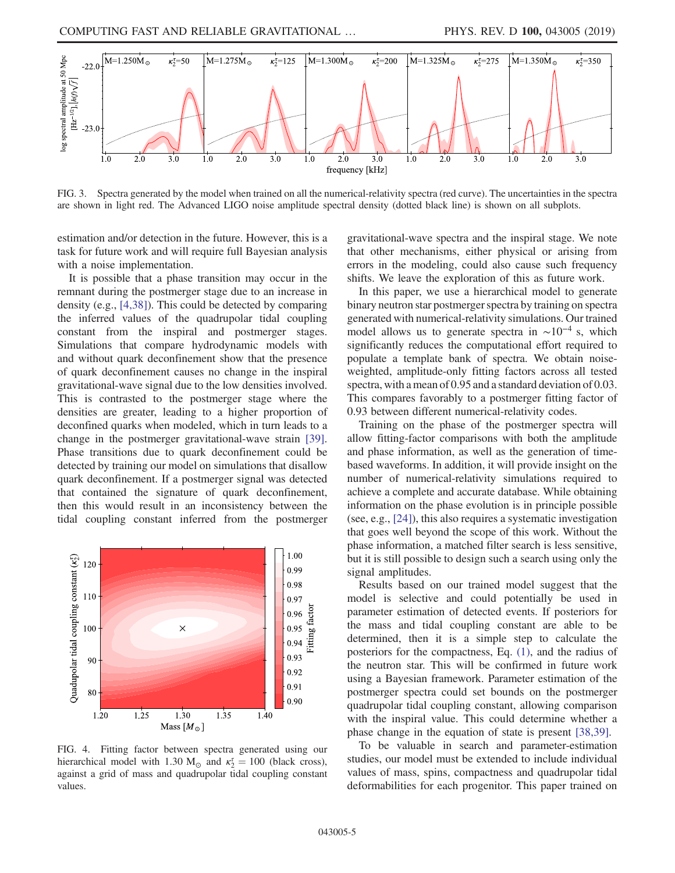<span id="page-4-0"></span>

FIG. 3. Spectra generated by the model when trained on all the numerical-relativity spectra (red curve). The uncertainties in the spectra are shown in light red. The Advanced LIGO noise amplitude spectral density (dotted black line) is shown on all subplots.

estimation and/or detection in the future. However, this is a task for future work and will require full Bayesian analysis with a noise implementation.

It is possible that a phase transition may occur in the remnant during the postmerger stage due to an increase in density (e.g., [\[4,38\]\)](#page-5-11). This could be detected by comparing the inferred values of the quadrupolar tidal coupling constant from the inspiral and postmerger stages. Simulations that compare hydrodynamic models with and without quark deconfinement show that the presence of quark deconfinement causes no change in the inspiral gravitational-wave signal due to the low densities involved. This is contrasted to the postmerger stage where the densities are greater, leading to a higher proportion of deconfined quarks when modeled, which in turn leads to a change in the postmerger gravitational-wave strain [\[39\]](#page-6-5). Phase transitions due to quark deconfinement could be detected by training our model on simulations that disallow quark deconfinement. If a postmerger signal was detected that contained the signature of quark deconfinement, then this would result in an inconsistency between the tidal coupling constant inferred from the postmerger

<span id="page-4-1"></span>

FIG. 4. Fitting factor between spectra generated using our hierarchical model with 1.30  $M_{\odot}$  and  $\kappa_2^2 = 100$  (black cross), against a grid of mass and quadrupolar tidal coupling constant against a grid of mass and quadrupolar tidal coupling constant values.

gravitational-wave spectra and the inspiral stage. We note that other mechanisms, either physical or arising from errors in the modeling, could also cause such frequency shifts. We leave the exploration of this as future work.

In this paper, we use a hierarchical model to generate binary neutron star postmerger spectra by training on spectra generated with numerical-relativity simulations. Our trained model allows us to generate spectra in  $\sim 10^{-4}$  s, which significantly reduces the computational effort required to populate a template bank of spectra. We obtain noiseweighted, amplitude-only fitting factors across all tested spectra, with a mean of 0.95 and a standard deviation of 0.03. This compares favorably to a postmerger fitting factor of 0.93 between different numerical-relativity codes.

Training on the phase of the postmerger spectra will allow fitting-factor comparisons with both the amplitude and phase information, as well as the generation of timebased waveforms. In addition, it will provide insight on the number of numerical-relativity simulations required to achieve a complete and accurate database. While obtaining information on the phase evolution is in principle possible (see, e.g., [\[24\]\)](#page-5-6), this also requires a systematic investigation that goes well beyond the scope of this work. Without the phase information, a matched filter search is less sensitive, but it is still possible to design such a search using only the signal amplitudes.

Results based on our trained model suggest that the model is selective and could potentially be used in parameter estimation of detected events. If posteriors for the mass and tidal coupling constant are able to be determined, then it is a simple step to calculate the posteriors for the compactness, Eq. [\(1\),](#page-1-0) and the radius of the neutron star. This will be confirmed in future work using a Bayesian framework. Parameter estimation of the postmerger spectra could set bounds on the postmerger quadrupolar tidal coupling constant, allowing comparison with the inspiral value. This could determine whether a phase change in the equation of state is present [\[38,39\]](#page-6-6).

To be valuable in search and parameter-estimation studies, our model must be extended to include individual values of mass, spins, compactness and quadrupolar tidal deformabilities for each progenitor. This paper trained on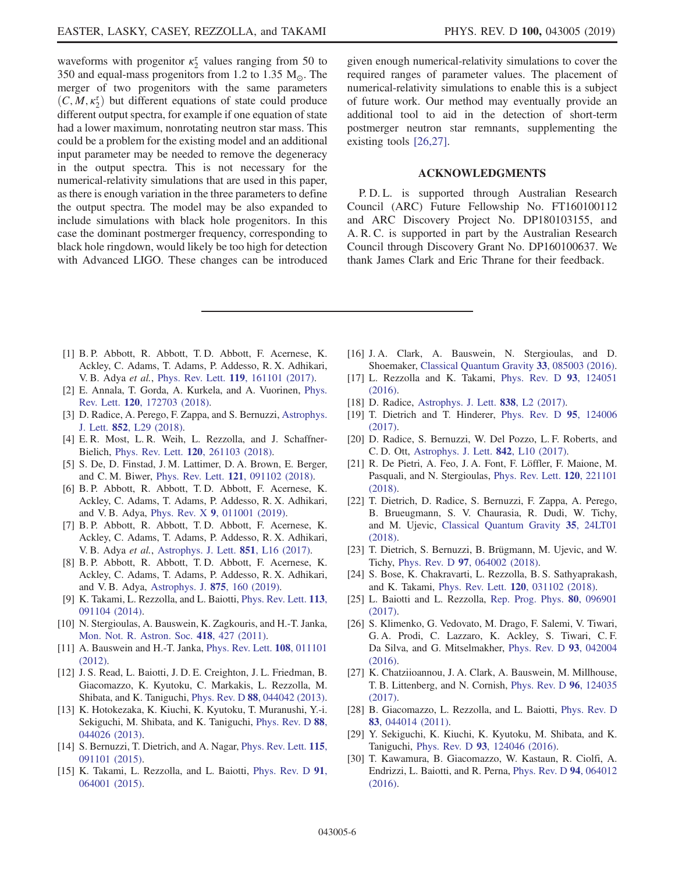waveforms with progenitor  $\kappa_2^{\tau}$  values ranging from 50 to 350 and equal-mass progenitors from 1.2 to 1.35  $M_{\odot}$ . The merger of two progenitors with the same parameters  $(C, M, \kappa_2^{\tau})$  but different equations of state could produce<br>different output spectra, for example if one equation of state different output spectra, for example if one equation of state had a lower maximum, nonrotating neutron star mass. This could be a problem for the existing model and an additional input parameter may be needed to remove the degeneracy in the output spectra. This is not necessary for the numerical-relativity simulations that are used in this paper, as there is enough variation in the three parameters to define the output spectra. The model may be also expanded to include simulations with black hole progenitors. In this case the dominant postmerger frequency, corresponding to black hole ringdown, would likely be too high for detection with Advanced LIGO. These changes can be introduced

given enough numerical-relativity simulations to cover the required ranges of parameter values. The placement of numerical-relativity simulations to enable this is a subject of future work. Our method may eventually provide an additional tool to aid in the detection of short-term postmerger neutron star remnants, supplementing the existing tools [\[26,27\].](#page-5-12)

## ACKNOWLEDGMENTS

P. D. L. is supported through Australian Research Council (ARC) Future Fellowship No. FT160100112 and ARC Discovery Project No. DP180103155, and A. R. C. is supported in part by the Australian Research Council through Discovery Grant No. DP160100637. We thank James Clark and Eric Thrane for their feedback.

- <span id="page-5-0"></span>[1] B. P. Abbott, R. Abbott, T. D. Abbott, F. Acernese, K. Ackley, C. Adams, T. Adams, P. Addesso, R. X. Adhikari, V. B. Adya et al., Phys. Rev. Lett. 119[, 161101 \(2017\)](https://doi.org/10.1103/PhysRevLett.119.161101).
- [2] E. Annala, T. Gorda, A. Kurkela, and A. Vuorinen, [Phys.](https://doi.org/10.1103/PhysRevLett.120.172703) Rev. Lett. 120[, 172703 \(2018\).](https://doi.org/10.1103/PhysRevLett.120.172703)
- [3] D. Radice, A. Perego, F. Zappa, and S. Bernuzzi, [Astrophys.](https://doi.org/10.3847/2041-8213/aaa402) J. Lett. 852[, L29 \(2018\).](https://doi.org/10.3847/2041-8213/aaa402)
- <span id="page-5-11"></span>[4] E. R. Most, L. R. Weih, L. Rezzolla, and J. Schaffner-Bielich, Phys. Rev. Lett. 120[, 261103 \(2018\).](https://doi.org/10.1103/PhysRevLett.120.261103)
- [5] S. De, D. Finstad, J. M. Lattimer, D. A. Brown, E. Berger, and C. M. Biwer, Phys. Rev. Lett. 121[, 091102 \(2018\).](https://doi.org/10.1103/PhysRevLett.121.091102)
- <span id="page-5-1"></span>[6] B. P. Abbott, R. Abbott, T. D. Abbott, F. Acernese, K. Ackley, C. Adams, T. Adams, P. Addesso, R. X. Adhikari, and V. B. Adya, Phys. Rev. X 9[, 011001 \(2019\).](https://doi.org/10.1103/PhysRevX.9.011001)
- [7] B. P. Abbott, R. Abbott, T. D. Abbott, F. Acernese, K. Ackley, C. Adams, T. Adams, P. Addesso, R. X. Adhikari, V. B. Adya et al., [Astrophys. J. Lett.](https://doi.org/10.3847/2041-8213/aa9a35) 851, L16 (2017).
- [8] B. P. Abbott, R. Abbott, T. D. Abbott, F. Acernese, K. Ackley, C. Adams, T. Adams, P. Addesso, R. X. Adhikari, and V. B. Adya, [Astrophys. J.](https://doi.org/10.3847/1538-4357/ab0f3d) 875, 160 (2019).
- <span id="page-5-2"></span>[9] K. Takami, L. Rezzolla, and L. Baiotti, [Phys. Rev. Lett.](https://doi.org/10.1103/PhysRevLett.113.091104) 113, [091104 \(2014\).](https://doi.org/10.1103/PhysRevLett.113.091104)
- [10] N. Stergioulas, A. Bauswein, K. Zagkouris, and H.-T. Janka, [Mon. Not. R. Astron. Soc.](https://doi.org/10.1111/j.1365-2966.2011.19493.x) 418, 427 (2011).
- [11] A. Bauswein and H.-T. Janka, *[Phys. Rev. Lett.](https://doi.org/10.1103/PhysRevLett.108.011101)* **108**, 011101 [\(2012\).](https://doi.org/10.1103/PhysRevLett.108.011101)
- [12] J. S. Read, L. Baiotti, J. D. E. Creighton, J. L. Friedman, B. Giacomazzo, K. Kyutoku, C. Markakis, L. Rezzolla, M. Shibata, and K. Taniguchi, Phys. Rev. D 88[, 044042 \(2013\).](https://doi.org/10.1103/PhysRevD.88.044042)
- [13] K. Hotokezaka, K. Kiuchi, K. Kyutoku, T. Muranushi, Y.-i. Sekiguchi, M. Shibata, and K. Taniguchi, [Phys. Rev. D](https://doi.org/10.1103/PhysRevD.88.044026) 88, [044026 \(2013\).](https://doi.org/10.1103/PhysRevD.88.044026)
- <span id="page-5-10"></span>[14] S. Bernuzzi, T. Dietrich, and A. Nagar, [Phys. Rev. Lett.](https://doi.org/10.1103/PhysRevLett.115.091101) 115, [091101 \(2015\).](https://doi.org/10.1103/PhysRevLett.115.091101)
- <span id="page-5-9"></span>[15] K. Takami, L. Rezzolla, and L. Baiotti, [Phys. Rev. D](https://doi.org/10.1103/PhysRevD.91.064001) 91, [064001 \(2015\).](https://doi.org/10.1103/PhysRevD.91.064001)
- <span id="page-5-5"></span>[16] J.A. Clark, A. Bauswein, N. Stergioulas, and D. Shoemaker, [Classical Quantum Gravity](https://doi.org/10.1088/0264-9381/33/8/085003) 33, 085003 (2016).
- <span id="page-5-4"></span>[17] L. Rezzolla and K. Takami, [Phys. Rev. D](https://doi.org/10.1103/PhysRevD.93.124051) 93, 124051 [\(2016\).](https://doi.org/10.1103/PhysRevD.93.124051)
- [18] D. Radice, [Astrophys. J. Lett.](https://doi.org/10.3847/2041-8213/aa6483) **838**, L2 (2017).
- [19] T. Dietrich and T. Hinderer, [Phys. Rev. D](https://doi.org/10.1103/PhysRevD.95.124006) 95, 124006 [\(2017\).](https://doi.org/10.1103/PhysRevD.95.124006)
- [20] D. Radice, S. Bernuzzi, W. Del Pozzo, L. F. Roberts, and C. D. Ott, [Astrophys. J. Lett.](https://doi.org/10.3847/2041-8213/aa775f) 842, L10 (2017).
- [21] R. De Pietri, A. Feo, J. A. Font, F. Löffler, F. Maione, M. Pasquali, and N. Stergioulas, [Phys. Rev. Lett.](https://doi.org/10.1103/PhysRevLett.120.221101) 120, 221101 [\(2018\).](https://doi.org/10.1103/PhysRevLett.120.221101)
- <span id="page-5-8"></span>[22] T. Dietrich, D. Radice, S. Bernuzzi, F. Zappa, A. Perego, B. Brueugmann, S. V. Chaurasia, R. Dudi, W. Tichy, and M. Ujevic, [Classical Quantum Gravity](https://doi.org/10.1088/1361-6382/aaebc0) 35, 24LT01 [\(2018\).](https://doi.org/10.1088/1361-6382/aaebc0)
- [23] T. Dietrich, S. Bernuzzi, B. Brügmann, M. Ujevic, and W. Tichy, Phys. Rev. D 97[, 064002 \(2018\)](https://doi.org/10.1103/PhysRevD.97.064002).
- <span id="page-5-6"></span>[24] S. Bose, K. Chakravarti, L. Rezzolla, B. S. Sathyaprakash, and K. Takami, Phys. Rev. Lett. 120[, 031102 \(2018\)](https://doi.org/10.1103/PhysRevLett.120.031102).
- <span id="page-5-3"></span>[25] L. Baiotti and L. Rezzolla, [Rep. Prog. Phys.](https://doi.org/10.1088/1361-6633/aa67bb) 80, 096901 [\(2017\).](https://doi.org/10.1088/1361-6633/aa67bb)
- <span id="page-5-12"></span>[26] S. Klimenko, G. Vedovato, M. Drago, F. Salemi, V. Tiwari, G. A. Prodi, C. Lazzaro, K. Ackley, S. Tiwari, C. F. Da Silva, and G. Mitselmakher, [Phys. Rev. D](https://doi.org/10.1103/PhysRevD.93.042004) 93, 042004 [\(2016\).](https://doi.org/10.1103/PhysRevD.93.042004)
- [27] K. Chatziioannou, J. A. Clark, A. Bauswein, M. Millhouse, T. B. Littenberg, and N. Cornish, [Phys. Rev. D](https://doi.org/10.1103/PhysRevD.96.124035) 96, 124035 [\(2017\).](https://doi.org/10.1103/PhysRevD.96.124035)
- <span id="page-5-7"></span>[28] B. Giacomazzo, L. Rezzolla, and L. Baiotti, [Phys. Rev. D](https://doi.org/10.1103/PhysRevD.83.044014) 83[, 044014 \(2011\).](https://doi.org/10.1103/PhysRevD.83.044014)
- [29] Y. Sekiguchi, K. Kiuchi, K. Kyutoku, M. Shibata, and K. Taniguchi, Phys. Rev. D 93[, 124046 \(2016\).](https://doi.org/10.1103/PhysRevD.93.124046)
- [30] T. Kawamura, B. Giacomazzo, W. Kastaun, R. Ciolfi, A. Endrizzi, L. Baiotti, and R. Perna, [Phys. Rev. D](https://doi.org/10.1103/PhysRevD.94.064012) 94, 064012 [\(2016\).](https://doi.org/10.1103/PhysRevD.94.064012)